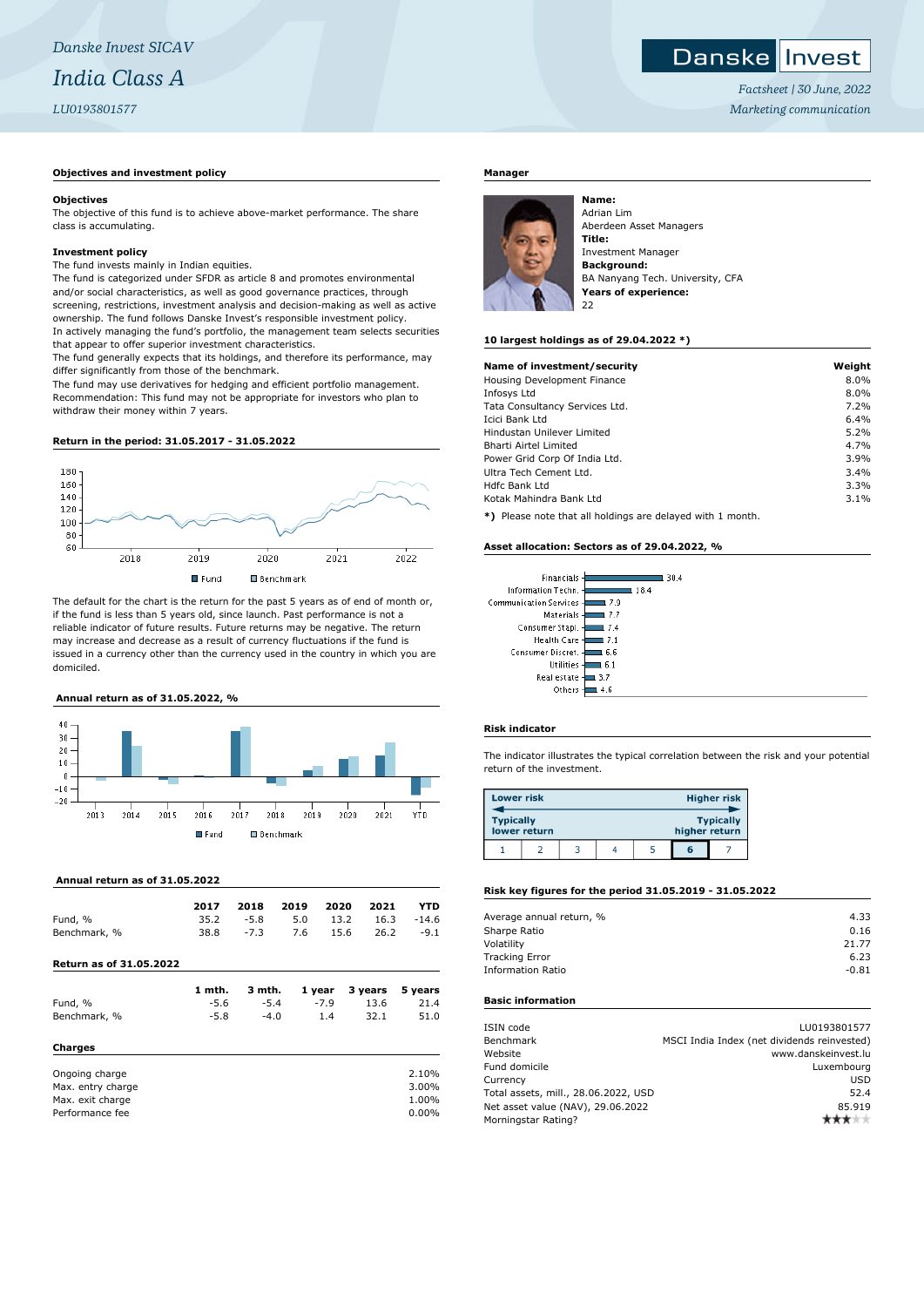# **Danske Invest**

*Factsheet | 30 June, 2022 Marketing communication*

#### **Objectives and investment policy**

#### **Objectives**

The objective of this fund is to achieve above-market performance. The share class is accumulating.

#### **Investment policy**

The fund invests mainly in Indian equities.

The fund is categorized under SFDR as article 8 and promotes environmental and/or social characteristics, as well as good governance practices, through screening, restrictions, investment analysis and decision-making as well as active ownership. The fund follows Danske Invest's responsible investment policy. In actively managing the fund's portfolio, the management team selects securities that appear to offer superior investment characteristics.

The fund generally expects that its holdings, and therefore its performance, may differ significantly from those of the benchmark.

The fund may use derivatives for hedging and efficient portfolio management. Recommendation: This fund may not be appropriate for investors who plan to withdraw their money within 7 years.

#### **Return in the period: 31.05.2017 - 31.05.2022**



The default for the chart is the return for the past 5 years as of end of month or, if the fund is less than 5 years old, since launch. Past performance is not a reliable indicator of future results. Future returns may be negative. The return may increase and decrease as a result of currency fluctuations if the fund is issued in a currency other than the currency used in the country in which you are domiciled.

# **Annual return as of 31.05.2022, %**



#### **Annual return as of 31.05.2022**

|              | 2017 | 2018   | 2019 2020 2021 |      |                     | YTD    |
|--------------|------|--------|----------------|------|---------------------|--------|
| Fund, %      | 35.2 | -5.8   |                |      | 5.0 13.2 16.3 -14.6 |        |
| Benchmark, % | 38.8 | $-7.3$ | 7.6            | 15.6 | 26.2                | $-9.1$ |

**Return as of 31.05.2022**

|                   | 1 mth. | 3 mth. | 1 year | 3 years | 5 years |
|-------------------|--------|--------|--------|---------|---------|
| Fund, %           | $-5.6$ | $-5.4$ | $-7.9$ | 13.6    | 21.4    |
| Benchmark, %      | $-5.8$ | $-4.0$ | 1.4    | 32.1    | 51.0    |
| Charges           |        |        |        |         |         |
| Ongoing charge    |        |        |        |         | 2.10%   |
| Max. entry charge |        |        |        |         | 3.00%   |
| Max. exit charge  |        |        |        |         | 1.00%   |
| Performance fee   |        |        |        |         | 0.00%   |
|                   |        |        |        |         |         |

### **Manager**



Adrian Lim Aberdeen Asset Managers **Title:** Investment Manager **Background:** BA Nanyang Tech. University, CFA **Years of experience:**  $22$ 

#### **10 largest holdings as of 29.04.2022 \*)**

| Name of investment/security                                | Weight |
|------------------------------------------------------------|--------|
| Housing Development Finance                                | 8.0%   |
|                                                            |        |
| Infosys Ltd                                                | 8.0%   |
| Tata Consultancy Services Ltd.                             | 7.2%   |
| Icici Bank Ltd                                             | 6.4%   |
| Hindustan Unilever Limited                                 | 5.2%   |
| Bharti Airtel Limited                                      | 4.7%   |
| Power Grid Corp Of India Ltd.                              | 3.9%   |
| Ultra Tech Cement Ltd.                                     | 3.4%   |
| Hdfc Bank Ltd                                              | 3.3%   |
| Kotak Mahindra Bank Ltd                                    | 3.1%   |
| *) Please note that all holdings are delayed with 1 month. |        |

**\*)** Please note that all holdings are delayed with 1 month.

#### **Asset allocation: Sectors as of 29.04.2022, %**

| Financials               | 30.4 |
|--------------------------|------|
| Information Techn. -     | 18.4 |
| Communication Services - | 7.9  |
| Materials -              | 7.7  |
| Consumer Stapl.          | 7.4  |
| Health Care -            | 7.1  |
| Consumer Discret. -      | 6.6  |
| Utilities -              | 6.1  |
| Real estate -            | 3.7  |
| Others                   |      |
|                          |      |

#### **Risk indicator**

The indicator illustrates the typical correlation between the risk and your potential return of the investment.

| <b>Lower risk</b> |              |  |               | <b>Higher risk</b> |
|-------------------|--------------|--|---------------|--------------------|
| <b>Typically</b>  | lower return |  | higher return | <b>Typically</b>   |
|                   |              |  | ត             |                    |

# **Risk key figures for the period 31.05.2019 - 31.05.2022**

| Average annual return, % | 4.33    |
|--------------------------|---------|
| Sharpe Ratio             | 0.16    |
| Volatility               | 21.77   |
| <b>Tracking Error</b>    | 6.23    |
| <b>Information Ratio</b> | $-0.81$ |
|                          |         |

# **Basic information**

| ISIN code                            | LU0193801577                                |
|--------------------------------------|---------------------------------------------|
| Benchmark                            | MSCI India Index (net dividends reinvested) |
| Website                              | www.danskeinvest.lu                         |
| Fund domicile                        | Luxembourg                                  |
| Currency                             | <b>USD</b>                                  |
| Total assets, mill., 28.06.2022, USD | 52.4                                        |
| Net asset value (NAV), 29.06.2022    | 85.919                                      |
| Morningstar Rating?                  |                                             |